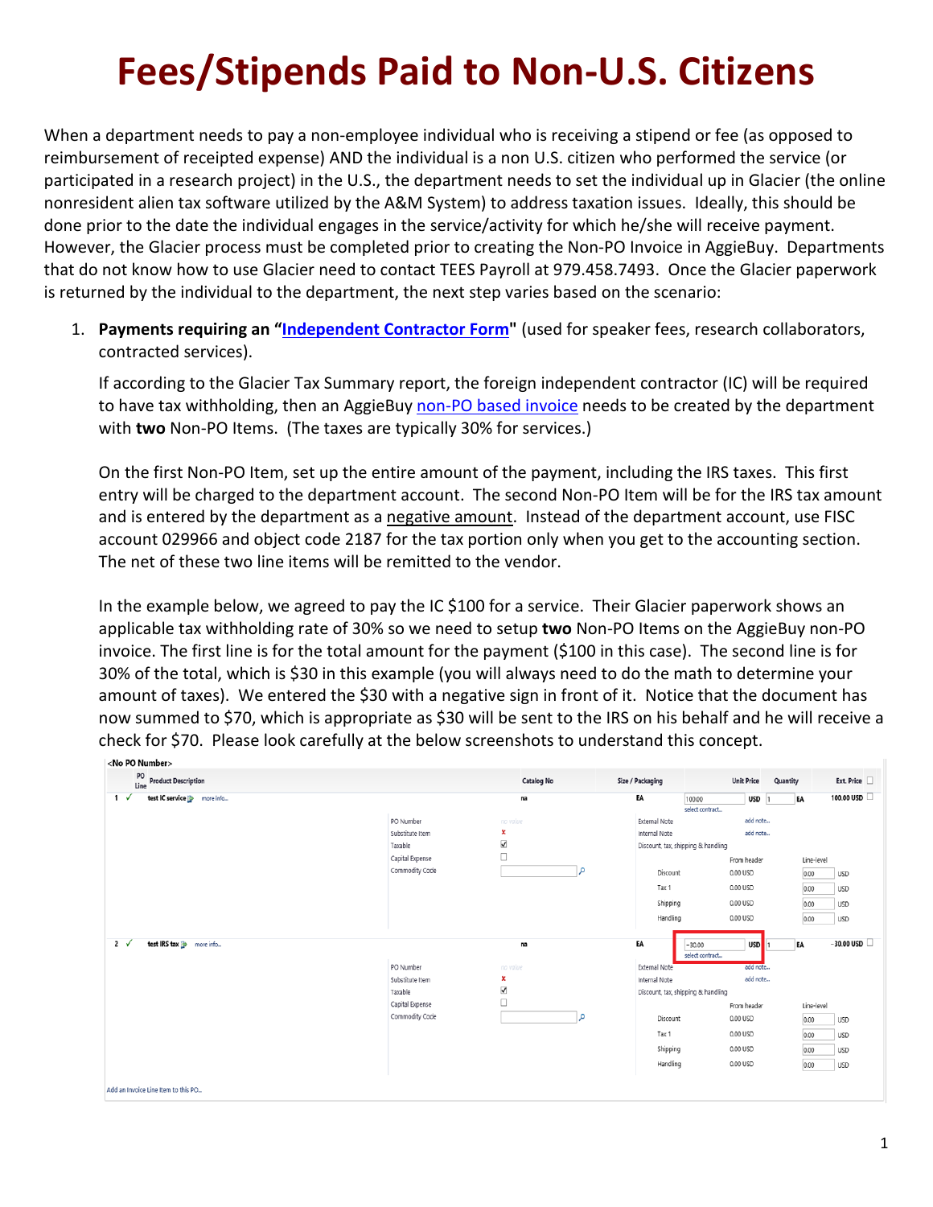## **Fees/Stipends Paid to Non-U.S. Citizens**

When a department needs to pay a non-employee individual who is receiving a stipend or fee (as opposed to reimbursement of receipted expense) AND the individual is a non U.S. citizen who performed the service (or participated in a research project) in the U.S., the department needs to set the individual up in Glacier (the online nonresident alien tax software utilized by the A&M System) to address taxation issues. Ideally, this should be done prior to the date the individual engages in the service/activity for which he/she will receive payment. However, the Glacier process must be completed prior to creating the Non-PO Invoice in AggieBuy. Departments that do not know how to use Glacier need to contact TEES Payroll at 979.458.7493. Once the Glacier paperwork is returned by the individual to the department, the next step varies based on the scenario:

1. **Payments requiring an ["Independent Contractor Form"](https://tees.tamu.edu/fiscal/_files/_documents/Request_to_Pay_IC_form.pdf)** (used for speaker fees, research collaborators, contracted services).

If according to the Glacier Tax Summary report, the foreign independent contractor (IC) will be required to have tax withholding, then an AggieBuy [non-PO based invoice](https://tees.tamu.edu/fiscal/_files/_documents/Non-PO-Based-Invoice-Instructions.pdf) needs to be created by the department with **two** Non-PO Items. (The taxes are typically 30% for services.)

On the first Non-PO Item, set up the entire amount of the payment, including the IRS taxes. This first entry will be charged to the department account. The second Non-PO Item will be for the IRS tax amount and is entered by the department as a negative amount. Instead of the department account, use FISC account 029966 and object code 2187 for the tax portion only when you get to the accounting section. The net of these two line items will be remitted to the vendor.

In the example below, we agreed to pay the IC \$100 for a service. Their Glacier paperwork shows an applicable tax withholding rate of 30% so we need to setup **two** Non-PO Items on the AggieBuy non-PO invoice. The first line is for the total amount for the payment (\$100 in this case). The second line is for 30% of the total, which is \$30 in this example (you will always need to do the math to determine your amount of taxes). We entered the \$30 with a negative sign in front of it. Notice that the document has now summed to \$70, which is appropriate as \$30 will be sent to the IRS on his behalf and he will receive a check for \$70. Please look carefully at the below screenshots to understand this concept.

| <no number="" po=""></no>                       |                                                                              |                                                 |                                                                             |                                                                                                       |                                     |          |                                            |                                                      |
|-------------------------------------------------|------------------------------------------------------------------------------|-------------------------------------------------|-----------------------------------------------------------------------------|-------------------------------------------------------------------------------------------------------|-------------------------------------|----------|--------------------------------------------|------------------------------------------------------|
| PO<br><b>Line</b> Product Description           |                                                                              | <b>Catalog No</b>                               | Size / Packaging                                                            |                                                                                                       | <b>Unit Price</b>                   | Quantity |                                            | Ext. Price                                           |
| test IC service <b>B</b> more info<br>$1 \sqrt$ |                                                                              | na                                              | EA                                                                          | 100.00                                                                                                | $USD$ 1                             | EA       |                                            | 100.00 USD                                           |
|                                                 | PO Number<br>Substitute Item<br>Taxable<br>Capital Expense<br>Commodity Code | no value<br>×<br>$\blacktriangledown$<br>Ο<br>م | External Note<br>Internal Note<br>Discount<br>Tax 1<br>Shipping<br>Handling | select contract<br>Discount, tax, shipping & handling<br>0.00 USD<br>0.00 USD<br>0.00 USD<br>0.00 USD | add note<br>add note<br>From header |          | Line-level<br>0.00<br>0.00<br>0.00<br>0.00 | <b>USD</b><br><b>USD</b><br><b>USD</b><br><b>USD</b> |
| test IRS tax is more info<br>$2 \sqrt$          |                                                                              | na                                              | EA                                                                          | $-30.00$<br>select contract                                                                           | <b>USD</b>                          | EA       |                                            | $-30.00$ USD $\Box$                                  |
|                                                 | PO Number                                                                    | no value                                        | External Note                                                               |                                                                                                       | add note                            |          |                                            |                                                      |
|                                                 | Substitute Item                                                              | ×                                               | Internal Note                                                               |                                                                                                       | add note                            |          |                                            |                                                      |
|                                                 | Taxable                                                                      | $\blacktriangledown$                            |                                                                             | Discount, tax, shipping & handling                                                                    |                                     |          |                                            |                                                      |
|                                                 | Capital Expense                                                              | $\Box$                                          |                                                                             |                                                                                                       | From header                         |          | Line-level                                 |                                                      |
|                                                 | Commodity Code                                                               | م                                               | Discount                                                                    | 0.00 USD                                                                                              |                                     |          | 0.00                                       | <b>USD</b>                                           |
|                                                 |                                                                              |                                                 | Tax 1                                                                       | 0.00 USD                                                                                              |                                     |          | 0.00                                       | <b>USD</b>                                           |
|                                                 |                                                                              |                                                 | Shipping                                                                    | 0.00 USD                                                                                              |                                     |          | 0.00                                       | <b>USD</b>                                           |
|                                                 |                                                                              |                                                 | Handling                                                                    | 0.00 USD                                                                                              |                                     |          | 0.00                                       | <b>USD</b>                                           |
| Add an Invoice Line Item to this PO             |                                                                              |                                                 |                                                                             |                                                                                                       |                                     |          |                                            |                                                      |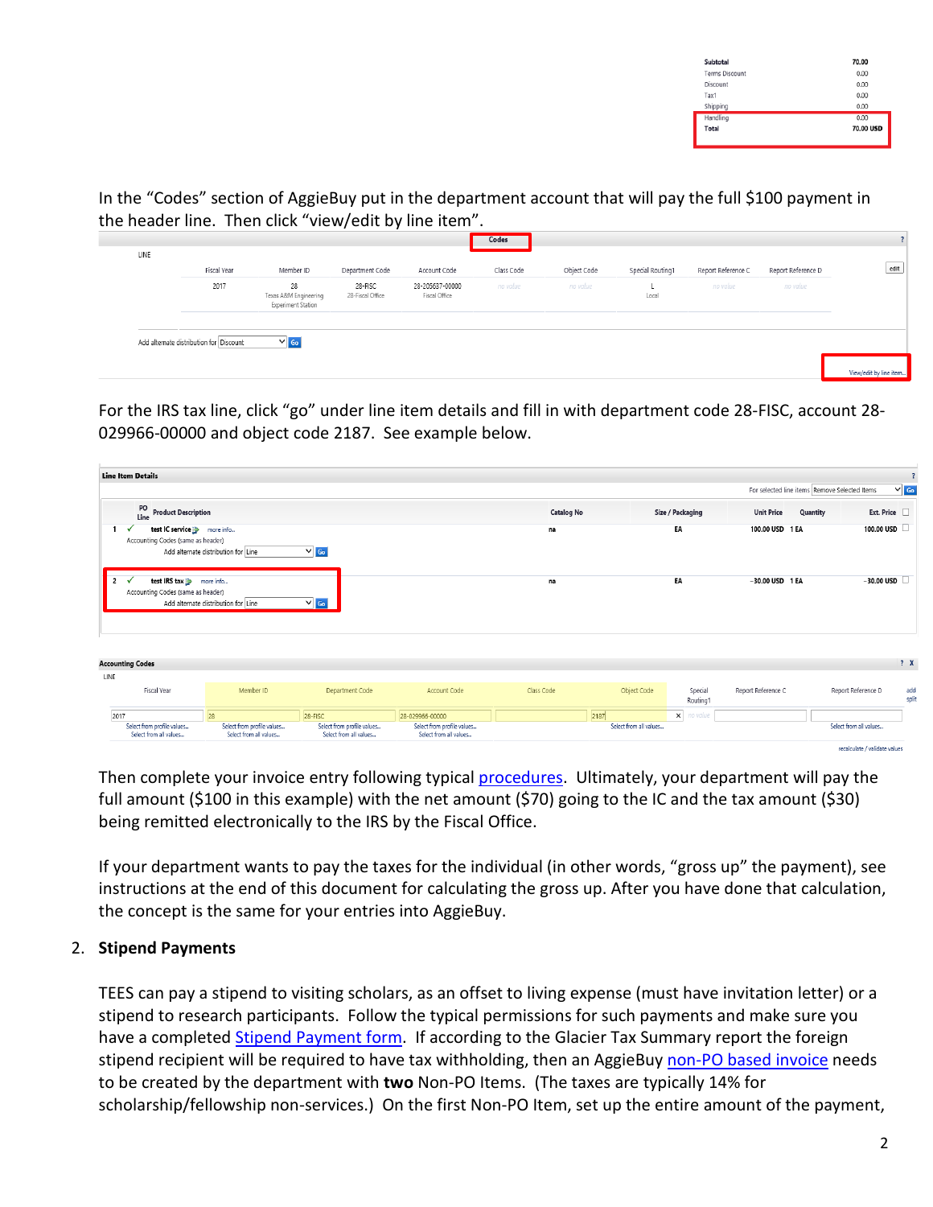| 70.00     |
|-----------|
| 0.00      |
| 0.00      |
| 0.00      |
| 0.00      |
| 0.00      |
| 70.00 USD |
|           |

In the "Codes" section of AggieBuy put in the department account that will pay the full \$100 payment in the header line. Then click "view/edit by line item".

| 2017 | 28                                          | 28-FISC          |                                  |          |          |       |          |          |  |
|------|---------------------------------------------|------------------|----------------------------------|----------|----------|-------|----------|----------|--|
|      | Texas A&M Engineering<br>Experiment Station | 28-Fiscal Office | 28-205637-00000<br>Fiscal Office | no value | no value | Local | no value | no value |  |
|      |                                             |                  |                                  |          |          |       |          |          |  |

For the IRS tax line, click "go" under line item details and fill in with department code 28-FISC, account 28- 029966-00000 and object code 2187. See example below.

| <b>Line Item Details</b>                                                               |                                                      |                                                      |                                                      |                   |                        |                     |                               |                                               | $\overline{\mathbf{?}}$ |
|----------------------------------------------------------------------------------------|------------------------------------------------------|------------------------------------------------------|------------------------------------------------------|-------------------|------------------------|---------------------|-------------------------------|-----------------------------------------------|-------------------------|
|                                                                                        |                                                      |                                                      |                                                      |                   |                        |                     |                               | For selected line items Remove Selected Items | $\vee$ Go               |
| PO<br><b>Product Description</b><br>Line                                               |                                                      |                                                      |                                                      | <b>Catalog No</b> |                        | Size / Packaging    | <b>Unit Price</b><br>Quantity | Ext. Price                                    |                         |
| test IC service <b>B</b> more info<br>Accounting Codes (same as header)                | Add alternate distribution for Line                  | $\vee$ Go                                            |                                                      | na                |                        | EA                  | 100.00 USD 1 EA               | 100.00 USD                                    |                         |
| test IRS tax <b>B</b> more info<br>$\overline{2}$<br>Accounting Codes (same as header) | Add alternate distribution for Line                  | $\vee$ Go                                            |                                                      | na                |                        | EA                  | $-30.00$ USD 1 EA             | $-30.00$ USD                                  |                         |
| <b>Accounting Codes</b>                                                                |                                                      |                                                      |                                                      |                   |                        |                     |                               |                                               | ? X                     |
| LINE                                                                                   |                                                      |                                                      |                                                      |                   |                        |                     |                               |                                               |                         |
| Fiscal Year                                                                            | Member ID                                            | Department Code                                      | Account Code                                         | Class Code        | Object Code            | Special<br>Routing1 | Report Reference C            | Report Reference D                            | add<br>split            |
| 2017                                                                                   | 28                                                   | 28-FISC                                              | 28-029966-00000                                      |                   | 2187                   | x no value          |                               |                                               |                         |
| Select from profile values<br>Select from all values                                   | Select from profile values<br>Select from all values | Select from profile values<br>Select from all values | Select from profile values<br>Select from all values |                   | Select from all values |                     |                               | Select from all values                        |                         |
|                                                                                        |                                                      |                                                      |                                                      |                   |                        |                     |                               | reached at a fundidate unlike                 |                         |

Then complete your invoice entry following typical [procedures.](https://tees.tamu.edu/fiscal/_files/_documents/Non-PO-Based-Invoice-Instructions.pdf) Ultimately, your department will pay the full amount (\$100 in this example) with the net amount (\$70) going to the IC and the tax amount (\$30) being remitted electronically to the IRS by the Fiscal Office.

If your department wants to pay the taxes for the individual (in other words, "gross up" the payment), see instructions at the end of this document for calculating the gross up. After you have done that calculation, the concept is the same for your entries into AggieBuy.

## 2. **Stipend Payments**

TEES can pay a stipend to visiting scholars, as an offset to living expense (must have invitation letter) or a stipend to research participants. Follow the typical permissions for such payments and make sure you have a completed [Stipend Payment form.](https://tees.tamu.edu/fiscal/_files/_documents/Stipend_Payment_Form.pdf) If according to the Glacier Tax Summary report the foreign stipend recipient will be required to have tax withholding, then an AggieBuy [non-PO based invoice](https://tees.tamu.edu/fiscal/_files/_documents/Non-PO-Based-Invoice-Instructions.pdf) needs to be created by the department with **two** Non-PO Items. (The taxes are typically 14% for scholarship/fellowship non-services.) On the first Non-PO Item, set up the entire amount of the payment,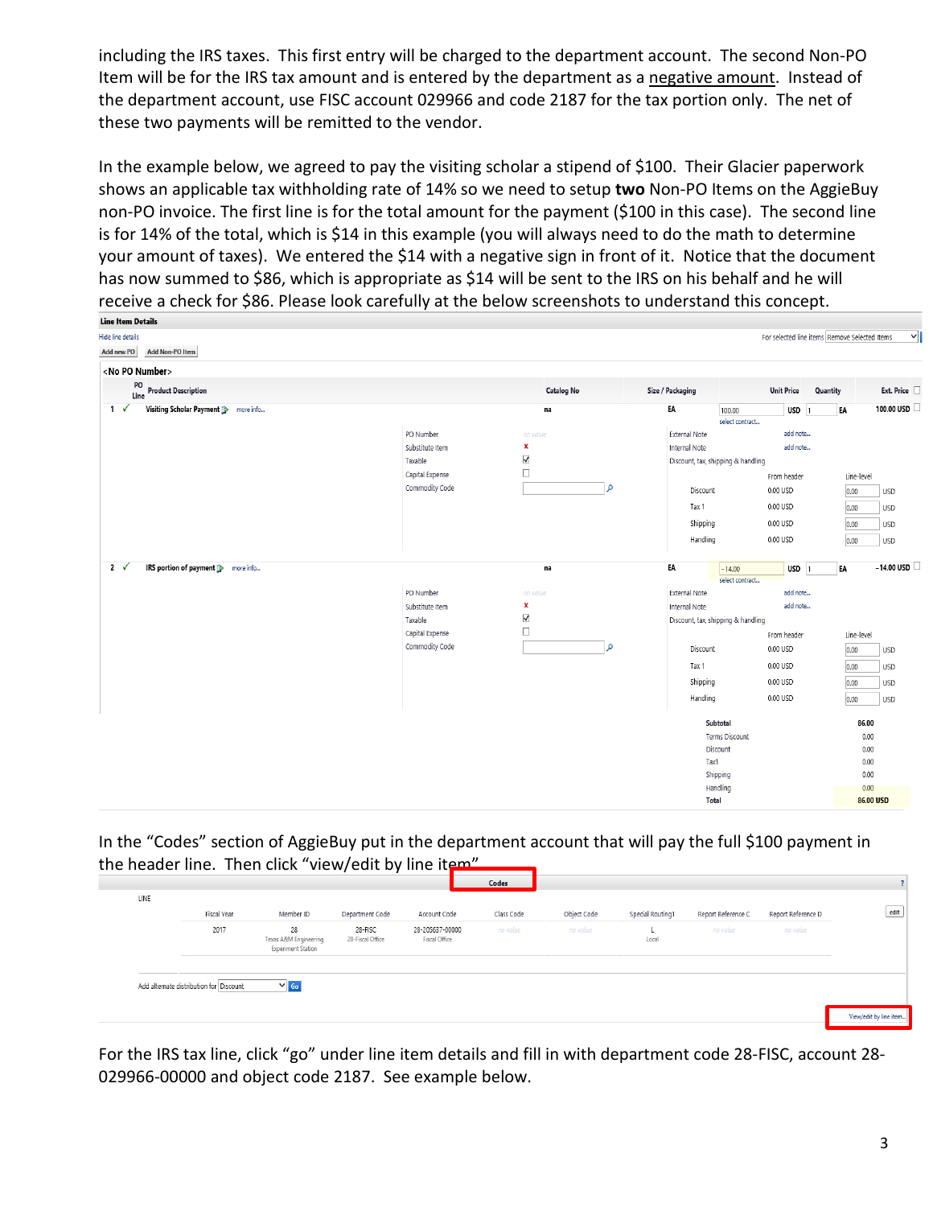including the IRS taxes. This first entry will be charged to the department account. The second Non-PO Item will be for the IRS tax amount and is entered by the department as a negative amount. Instead of the department account, use FISC account 029966 and code 2187 for the tax portion only. The net of these two payments will be remitted to the vendor.

In the example below, we agreed to pay the visiting scholar a stipend of \$100. Their Glacier paperwork shows an applicable tax withholding rate of 14% so we need to setup **two** Non-PO Items on the AggieBuy non-PO invoice. The first line is for the total amount for the payment (\$100 in this case). The second line is for 14% of the total, which is \$14 in this example (you will always need to do the math to determine your amount of taxes). We entered the \$14 with a negative sign in front of it. Notice that the document has now summed to \$86, which is appropriate as \$14 will be sent to the IRS on his behalf and he will receive a check for \$86. Please look carefully at the below screenshots to understand this concept.

| Line Item Details                                         |                                   |                           |                  |                                    |                                               |              |                     |
|-----------------------------------------------------------|-----------------------------------|---------------------------|------------------|------------------------------------|-----------------------------------------------|--------------|---------------------|
| Hide line details                                         |                                   |                           |                  |                                    | For selected line items Remove Selected Items |              | 1∨                  |
| Add Non-PO Item<br>Add new PO                             |                                   |                           |                  |                                    |                                               |              |                     |
| <no number="" po=""></no>                                 |                                   |                           |                  |                                    |                                               |              |                     |
| PO<br>Line<br><b>Product Description</b>                  |                                   | <b>Catalog No</b>         | Size / Packaging | <b>Unit Price</b>                  | Quantity                                      |              | Ext. Price          |
| $1 \checkmark$<br>Visiting Scholar Payment B<br>more info |                                   | na                        | EA               | 100.00<br>select contract          | $USD$ 1                                       | EA           | 100.00 USD          |
|                                                           | PO Number                         | no value                  | External Note    |                                    | add note                                      |              |                     |
|                                                           | Substitute Item                   | x                         | Internal Note    |                                    | add note                                      |              |                     |
|                                                           | Taxable                           | $\blacktriangledown$      |                  | Discount, tax, shipping & handling |                                               |              |                     |
|                                                           | Capital Expense                   | $\Box$                    |                  | From header                        |                                               | Line-level   |                     |
|                                                           | Commodity Code                    | م                         | Discount         | 0.00 USD                           |                                               | 0.00         | USD                 |
|                                                           |                                   |                           | Tax 1            | 0.00 USD                           |                                               | 0.00         | USD                 |
|                                                           |                                   |                           | Shipping         | 0.00 USD                           |                                               | 0.00         | <b>USD</b>          |
|                                                           |                                   |                           | Handling         | 0.00 USD                           |                                               | 0.00         | USD                 |
| $2 \sqrt{ }$<br>IRS portion of payment <b>B</b> more info |                                   | na                        | EA               | $-14.00$                           | $USD$ 1                                       | EA           | $-14.00$ USD $\Box$ |
|                                                           |                                   |                           |                  | select contract                    |                                               |              |                     |
|                                                           | PO Number                         | no value                  | External Note    |                                    | add note                                      |              |                     |
|                                                           | Substitute Item                   | ×<br>$\blacktriangledown$ | Internal Note    |                                    | add note                                      |              |                     |
|                                                           | Taxable                           | $\Box$                    |                  | Discount, tax, shipping & handling |                                               |              |                     |
|                                                           | Capital Expense<br>Commodity Code | م                         |                  | From header                        |                                               | Line-level   |                     |
|                                                           |                                   |                           | Discount         | 0.00 USD                           |                                               | 0.00         | USD                 |
|                                                           |                                   |                           | Tax 1            | 0.00 USD                           |                                               | 0.00         | <b>USD</b>          |
|                                                           |                                   |                           | Shipping         | 0.00 USD                           |                                               | 0.00         | USD                 |
|                                                           |                                   |                           | Handling         | 0.00 USD                           |                                               | 0.00         | <b>USD</b>          |
|                                                           |                                   |                           |                  | Subtotal                           |                                               | 86.00        |                     |
|                                                           |                                   |                           |                  | Terms Discount                     |                                               | 0.00         |                     |
|                                                           |                                   |                           |                  | Discount                           |                                               | 0.00         |                     |
|                                                           |                                   |                           | Tax1             |                                    |                                               | 0.00         |                     |
|                                                           |                                   |                           |                  | Shipping<br>Handling               |                                               | 0.00<br>0.00 |                     |
|                                                           |                                   |                           |                  | Total                              |                                               | 86.00 USD    |                     |
|                                                           |                                   |                           |                  |                                    |                                               |              |                     |

In the "Codes" section of AggieBuy put in the department account that will pay the full \$100 payment in the header line. Then click "view/edit by line item"

| Fiscal Year<br>2017 | Member ID<br>28                             | Department Code<br>28-FISC | Account Code<br>28-205637-00000 | Class Code<br>no value | Object Code<br>no value | Special Routing1 | Report Reference C<br>no value | Report Reference D<br>no value |  |
|---------------------|---------------------------------------------|----------------------------|---------------------------------|------------------------|-------------------------|------------------|--------------------------------|--------------------------------|--|
|                     | Texas A&M Engineering<br>Experiment Station | 28-Fiscal Office           | Fiscal Office                   |                        |                         | Local            |                                |                                |  |
|                     |                                             |                            |                                 |                        |                         |                  |                                |                                |  |

For the IRS tax line, click "go" under line item details and fill in with department code 28-FISC, account 28- 029966-00000 and object code 2187. See example below.